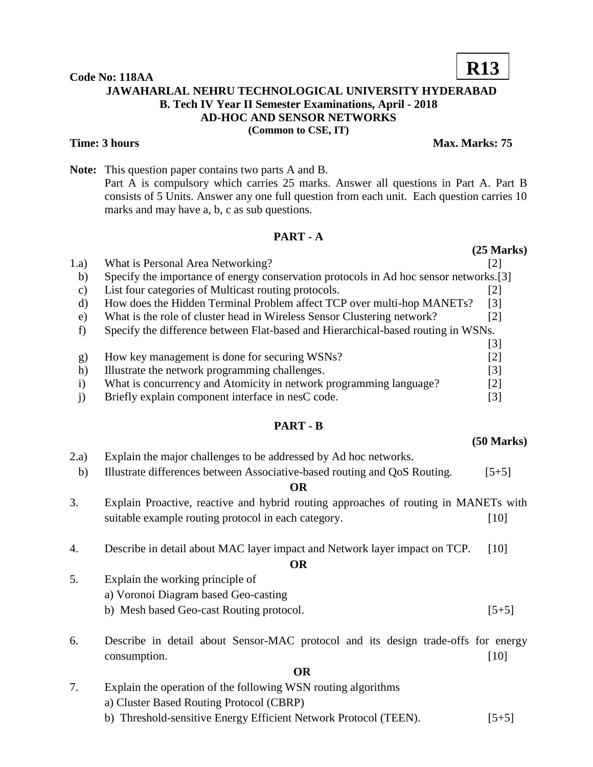#### **Code No: 118AA JAWAHARLAL NEHRU TECHNOLOGICAL UNIVERSITY HYDERABAD B. Tech IV Year II Semester Examinations, April - 2018 AD-HOC AND SENSOR NETWORKS (Common to CSE, IT)**

**Note:** This question paper contains two parts A and B. Part A is compulsory which carries 25 marks. Answer all questions in Part A. Part B consists of 5 Units. Answer any one full question from each unit. Each question carries 10 marks and may have a, b, c as sub questions.

#### **PART - A**

1.a) What is Personal Area Networking? [2]

|           | $\ldots$ . Thus to a cloomal ration recent orman $\ldots$                             |                   |
|-----------|---------------------------------------------------------------------------------------|-------------------|
| b)        | Specify the importance of energy conservation protocols in Ad hoc sensor networks.[3] |                   |
| C)        | List four categories of Multicast routing protocols.                                  | [2]               |
| d)        | How does the Hidden Terminal Problem affect TCP over multi-hop MANETs?                | $\lceil 3 \rceil$ |
| e)        | What is the role of cluster head in Wireless Sensor Clustering network?               | $\lceil 2 \rceil$ |
|           | Specify the difference between Flat-based and Hierarchical-based routing in WSNs.     |                   |
|           |                                                                                       | [3]               |
| g)        | How key management is done for securing WSNs?                                         | $\lceil 2 \rceil$ |
| h)        | Illustrate the network programming challenges.                                        | $\lceil 3 \rceil$ |
| $\bf{1)}$ | What is concurrency and Atomicity in network programming language?                    | [2]               |
|           | Briefly explain component interface in nesC code.                                     | [3]               |

#### **PART - B**

# 2.a) Explain the major challenges to be addressed by Ad hoc networks. b) Illustrate differences between Associative-based routing and QoS Routing. [5+5] **OR** 3. Explain Proactive, reactive and hybrid routing approaches of routing in MANETs with suitable example routing protocol in each category. [10] 4. Describe in detail about MAC layer impact and Network layer impact on TCP. [10] **OR** 5. Explain the working principle of a) Voronoi Diagram based Geo-casting b) Mesh based Geo-cast Routing protocol. [5+5] 6. Describe in detail about Sensor-MAC protocol and its design trade-offs for energy consumption. [10] **OR**

- 
- 7. Explain the operation of the following WSN routing algorithms a) Cluster Based Routing Protocol (CBRP) b) Threshold-sensitive Energy Efficient Network Protocol (TEEN). [5+5]

**(25 Marks)**

#### **(50 Marks)**

## **Time: 3 hours** Max. Marks: 75